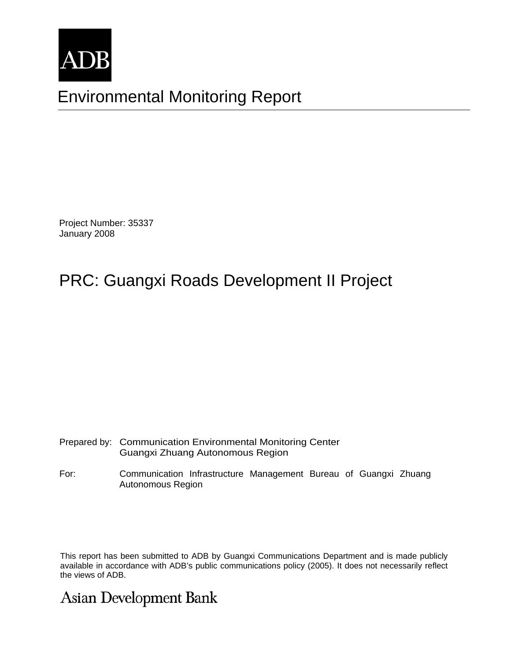

# Environmental Monitoring Report

Project Number: 35337 January 2008

# PRC: Guangxi Roads Development II Project

| Prepared by: Communication Environmental Monitoring Center |
|------------------------------------------------------------|
| Guangxi Zhuang Autonomous Region                           |

For: Communication Infrastructure Management Bureau of Guangxi Zhuang Autonomous Region

This report has been submitted to ADB by Guangxi Communications Department and is made publicly available in accordance with ADB's public communications policy (2005). It does not necessarily reflect the views of ADB.

# **Asian Development Bank**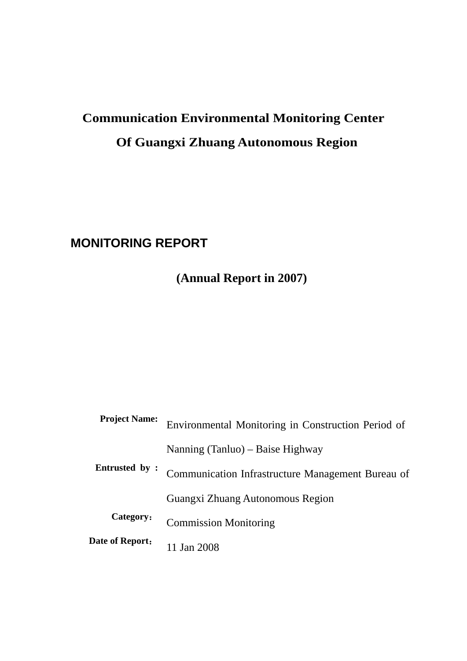# **Communication Environmental Monitoring Center Of Guangxi Zhuang Autonomous Region**

# **MONITORING REPORT**

**(Annual Report in 2007)** 

| <b>Project Name:</b> | Environmental Monitoring in Construction Period of |
|----------------------|----------------------------------------------------|
| Entrusted by :       | Nanning (Tanluo) – Baise Highway                   |
|                      | Communication Infrastructure Management Bureau of  |
|                      | Guangxi Zhuang Autonomous Region                   |
| Category:            | <b>Commission Monitoring</b>                       |
| Date of Report:      | Jan 2008                                           |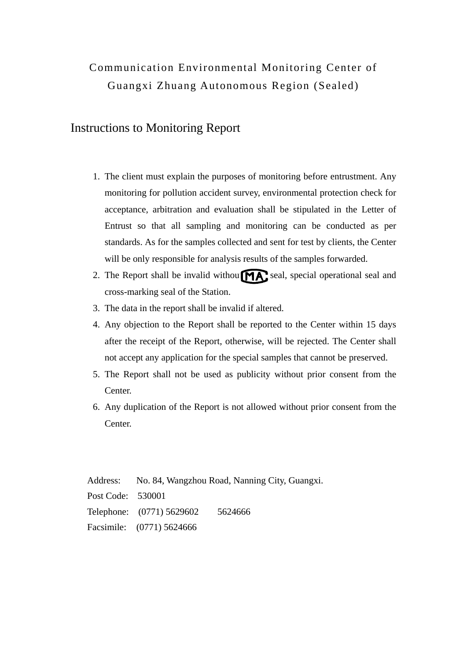# Communication Environmental Monitoring Center of Guangxi Zhuang Autonomous Region (Sealed)

# Instructions to Monitoring Report

- 1. The client must explain the purposes of monitoring before entrustment. Any monitoring for pollution accident survey, environmental protection check for acceptance, arbitration and evaluation shall be stipulated in the Letter of Entrust so that all sampling and monitoring can be conducted as per standards. As for the samples collected and sent for test by clients, the Center will be only responsible for analysis results of the samples forwarded.
- 2. The Report shall be invalid withou  $\widehat{M}$  seal, special operational seal and cross-marking seal of the Station.
- 3. The data in the report shall be invalid if altered.
- 4. Any objection to the Report shall be reported to the Center within 15 days after the receipt of the Report, otherwise, will be rejected. The Center shall not accept any application for the special samples that cannot be preserved.
- 5. The Report shall not be used as publicity without prior consent from the Center.
- 6. Any duplication of the Report is not allowed without prior consent from the Center.

Address: No. 84, Wangzhou Road, Nanning City, Guangxi. Post Code: 530001 Telephone: (0771) 5629602 5624666 Facsimile: (0771) 5624666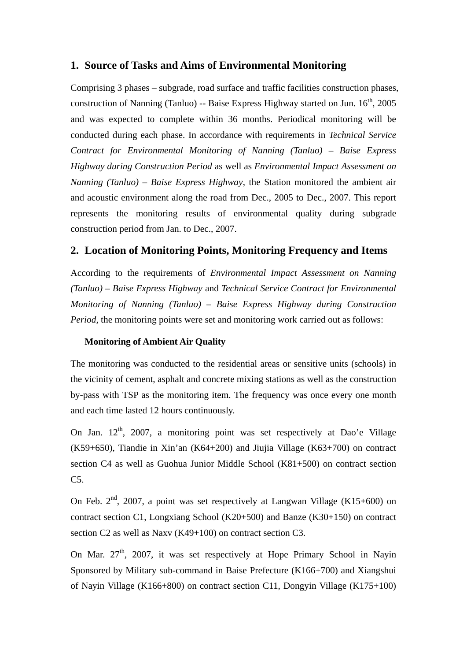### **1. Source of Tasks and Aims of Environmental Monitoring**

Comprising 3 phases – subgrade, road surface and traffic facilities construction phases, construction of Nanning (Tanluo) -- Baise Express Highway started on Jun.  $16<sup>th</sup>$ , 2005 and was expected to complete within 36 months. Periodical monitoring will be conducted during each phase. In accordance with requirements in *Technical Service Contract for Environmental Monitoring of Nanning (Tanluo) – Baise Express Highway during Construction Period* as well as *Environmental Impact Assessment on Nanning (Tanluo) – Baise Express Highway*, the Station monitored the ambient air and acoustic environment along the road from Dec., 2005 to Dec., 2007. This report represents the monitoring results of environmental quality during subgrade construction period from Jan. to Dec., 2007.

# **2. Location of Monitoring Points, Monitoring Frequency and Items**

According to the requirements of *Environmental Impact Assessment on Nanning (Tanluo) – Baise Express Highway* and *Technical Service Contract for Environmental Monitoring of Nanning (Tanluo) – Baise Express Highway during Construction Period*, the monitoring points were set and monitoring work carried out as follows:

#### **Monitoring of Ambient Air Quality**

The monitoring was conducted to the residential areas or sensitive units (schools) in the vicinity of cement, asphalt and concrete mixing stations as well as the construction by-pass with TSP as the monitoring item. The frequency was once every one month and each time lasted 12 hours continuously.

On Jan.  $12<sup>th</sup>$ , 2007, a monitoring point was set respectively at Dao'e Village (K59+650), Tiandie in Xin'an (K64+200) and Jiujia Village (K63+700) on contract section C4 as well as Guohua Junior Middle School (K81+500) on contract section C5.

On Feb.  $2<sup>nd</sup>$ , 2007, a point was set respectively at Langwan Village (K15+600) on contract section C1, Longxiang School (K20+500) and Banze (K30+150) on contract section C2 as well as Naxv (K49+100) on contract section C3.

On Mar.  $27<sup>th</sup>$ , 2007, it was set respectively at Hope Primary School in Navin Sponsored by Military sub-command in Baise Prefecture (K166+700) and Xiangshui of Nayin Village (K166+800) on contract section C11, Dongyin Village (K175+100)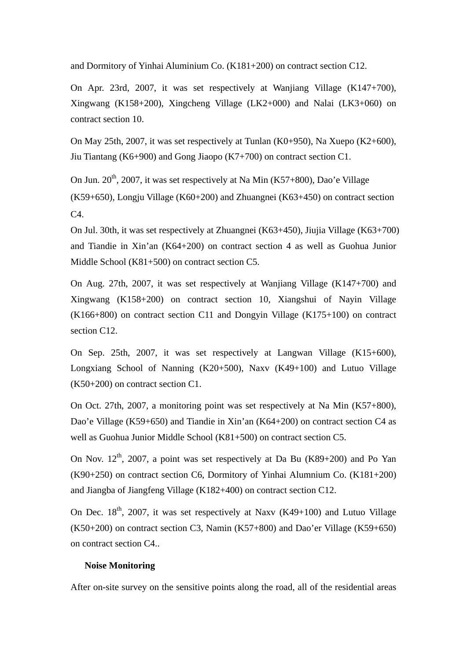and Dormitory of Yinhai Aluminium Co. (K181+200) on contract section C12.

On Apr. 23rd, 2007, it was set respectively at Wanjiang Village (K147+700), Xingwang (K158+200), Xingcheng Village (LK2+000) and Nalai (LK3+060) on contract section 10.

On May 25th, 2007, it was set respectively at Tunlan (K0+950), Na Xuepo (K2+600), Jiu Tiantang (K6+900) and Gong Jiaopo (K7+700) on contract section C1.

On Jun.  $20^{th}$ , 2007, it was set respectively at Na Min (K57+800), Dao'e Village (K59+650), Longju Village (K60+200) and Zhuangnei (K63+450) on contract section  $C4$ 

On Jul. 30th, it was set respectively at Zhuangnei (K63+450), Jiujia Village (K63+700) and Tiandie in Xin'an (K64+200) on contract section 4 as well as Guohua Junior Middle School (K81+500) on contract section C5.

On Aug. 27th, 2007, it was set respectively at Wanjiang Village (K147+700) and Xingwang (K158+200) on contract section 10, Xiangshui of Nayin Village (K166+800) on contract section C11 and Dongyin Village (K175+100) on contract section C12.

On Sep. 25th, 2007, it was set respectively at Langwan Village (K15+600), Longxiang School of Nanning (K20+500), Naxv (K49+100) and Lutuo Village (K50+200) on contract section C1.

On Oct. 27th, 2007, a monitoring point was set respectively at Na Min (K57+800), Dao'e Village (K59+650) and Tiandie in Xin'an (K64+200) on contract section C4 as well as Guohua Junior Middle School (K81+500) on contract section C5.

On Nov.  $12^{th}$ , 2007, a point was set respectively at Da Bu (K89+200) and Po Yan (K90+250) on contract section C6, Dormitory of Yinhai Alumnium Co. (K181+200) and Jiangba of Jiangfeng Village (K182+400) on contract section C12.

On Dec.  $18<sup>th</sup>$ , 2007, it was set respectively at Naxy (K49+100) and Lutuo Village (K50+200) on contract section C3, Namin (K57+800) and Dao'er Village (K59+650) on contract section C4..

#### **Noise Monitoring**

After on-site survey on the sensitive points along the road, all of the residential areas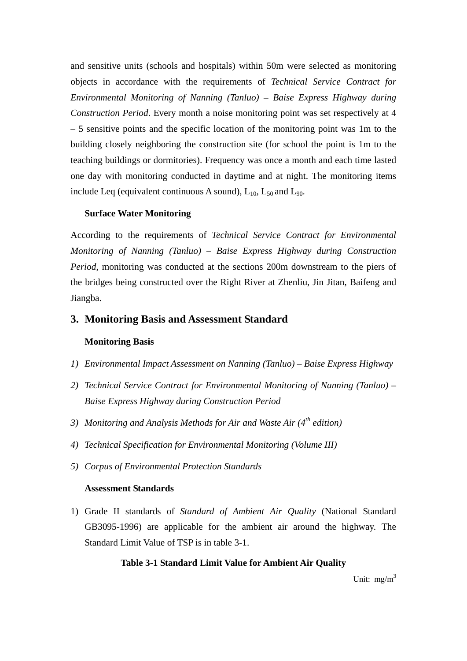and sensitive units (schools and hospitals) within 50m were selected as monitoring objects in accordance with the requirements of *Technical Service Contract for Environmental Monitoring of Nanning (Tanluo) – Baise Express Highway during Construction Period*. Every month a noise monitoring point was set respectively at 4 – 5 sensitive points and the specific location of the monitoring point was 1m to the building closely neighboring the construction site (for school the point is 1m to the teaching buildings or dormitories). Frequency was once a month and each time lasted one day with monitoring conducted in daytime and at night. The monitoring items include Leq (equivalent continuous A sound),  $L_{10}$ ,  $L_{50}$  and  $L_{90}$ .

#### **Surface Water Monitoring**

According to the requirements of *Technical Service Contract for Environmental Monitoring of Nanning (Tanluo) – Baise Express Highway during Construction Period*, monitoring was conducted at the sections 200m downstream to the piers of the bridges being constructed over the Right River at Zhenliu, Jin Jitan, Baifeng and Jiangba.

#### **3. Monitoring Basis and Assessment Standard**

#### **Monitoring Basis**

- *1) Environmental Impact Assessment on Nanning (Tanluo) Baise Express Highway*
- *2) Technical Service Contract for Environmental Monitoring of Nanning (Tanluo) Baise Express Highway during Construction Period*
- *3) Monitoring and Analysis Methods for Air and Waste Air (4th edition)*
- *4) Technical Specification for Environmental Monitoring (Volume III)*
- *5) Corpus of Environmental Protection Standards*

#### **Assessment Standards**

1) Grade II standards of *Standard of Ambient Air Quality* (National Standard GB3095-1996) are applicable for the ambient air around the highway. The Standard Limit Value of TSP is in table 3-1.

#### **Table 3-1 Standard Limit Value for Ambient Air Quality**

Unit:  $mg/m<sup>3</sup>$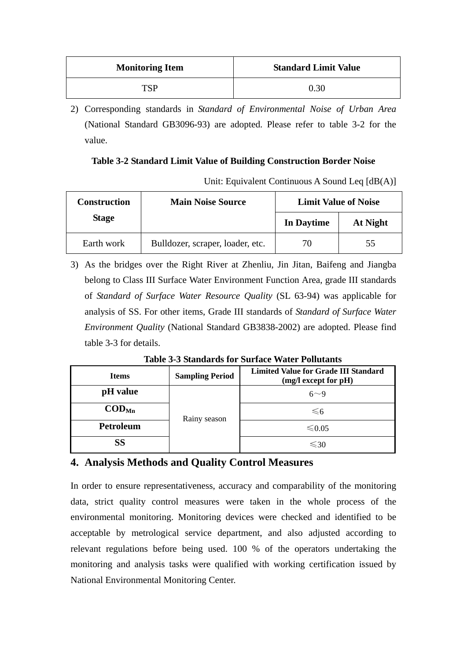| <b>Monitoring Item</b> | <b>Standard Limit Value</b> |
|------------------------|-----------------------------|
| TSP                    | 0.30                        |

2) Corresponding standards in *Standard of Environmental Noise of Urban Area* (National Standard GB3096-93) are adopted. Please refer to table 3-2 for the value.

### **Table 3-2 Standard Limit Value of Building Construction Border Noise**

Unit: Equivalent Continuous A Sound Leq [dB(A)]

| <b>Construction</b> | <b>Main Noise Source</b>         | <b>Limit Value of Noise</b> |          |
|---------------------|----------------------------------|-----------------------------|----------|
| <b>Stage</b>        |                                  | In Daytime                  | At Night |
| Earth work          | Bulldozer, scraper, loader, etc. | 70                          | 55       |

3) As the bridges over the Right River at Zhenliu, Jin Jitan, Baifeng and Jiangba belong to Class III Surface Water Environment Function Area, grade III standards of *Standard of Surface Water Resource Quality* (SL 63-94) was applicable for analysis of SS. For other items, Grade III standards of *Standard of Surface Water Environment Quality* (National Standard GB3838-2002) are adopted. Please find table 3-3 for details.

| <b>Table 3-3 Standards for Surface Water Pollutants</b> |  |                        |                                             |
|---------------------------------------------------------|--|------------------------|---------------------------------------------|
| Items                                                   |  | <b>Sampling Period</b> | <b>Limited Value for Grade III Standard</b> |
|                                                         |  |                        | $(m\sigma)$ event for $nH$                  |

| <b>Items</b>                 | <b>Sampling Period</b> | Limited value for Grade III Standard<br>$(mg/l$ except for $pH)$ |
|------------------------------|------------------------|------------------------------------------------------------------|
| pH value                     |                        | $6\sim9$                                                         |
| $\mathbf{COD}_{\mathbf{Mn}}$ | Rainy season           | $\leq 6$                                                         |
| <b>Petroleum</b>             |                        | ≤ 0.05                                                           |
| SS                           |                        | $\leq 30$                                                        |

# **4. Analysis Methods and Quality Control Measures**

In order to ensure representativeness, accuracy and comparability of the monitoring data, strict quality control measures were taken in the whole process of the environmental monitoring. Monitoring devices were checked and identified to be acceptable by metrological service department, and also adjusted according to relevant regulations before being used. 100 % of the operators undertaking the monitoring and analysis tasks were qualified with working certification issued by National Environmental Monitoring Center.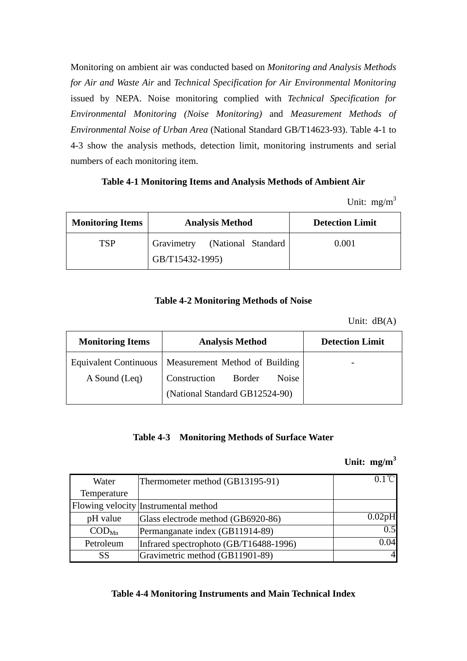Monitoring on ambient air was conducted based on *Monitoring and Analysis Methods for Air and Waste Air* and *Technical Specification for Air Environmental Monitoring* issued by NEPA. Noise monitoring complied with *Technical Specification for Environmental Monitoring (Noise Monitoring)* and *Measurement Methods of Environmental Noise of Urban Area* (National Standard GB/T14623-93). Table 4-1 to 4-3 show the analysis methods, detection limit, monitoring instruments and serial numbers of each monitoring item.

#### **Table 4-1 Monitoring Items and Analysis Methods of Ambient Air**

Unit:  $mg/m<sup>3</sup>$ 

| <b>Monitoring Items</b> | <b>Analysis Method</b>        | <b>Detection Limit</b> |
|-------------------------|-------------------------------|------------------------|
| TSP                     | Gravimetry (National Standard | 0.001                  |
|                         | GB/T15432-1995)               |                        |

#### **Table 4-2 Monitoring Methods of Noise**

Unit: dB(A)

| <b>Monitoring Items</b>      | <b>Analysis Method</b>          | <b>Detection Limit</b> |
|------------------------------|---------------------------------|------------------------|
| <b>Equivalent Continuous</b> | Measurement Method of Building  |                        |
| A Sound (Leq)                | Construction<br>Border<br>Noise |                        |
|                              | (National Standard GB12524-90)  |                        |

#### **Table 4-3 Monitoring Methods of Surface Water**

#### **Unit: mg/m<sup>3</sup>**

| Water                    | Thermometer method (GB13195-91)        | $0.1^{\circ}$ C |
|--------------------------|----------------------------------------|-----------------|
| Temperature              |                                        |                 |
|                          | Flowing velocity Instrumental method   |                 |
| pH value                 | Glass electrode method (GB6920-86)     | 0.02pH          |
| $\text{COD}_{\text{Mn}}$ | Permanganate index (GB11914-89)        | 0.5             |
| Petroleum                | Infrared spectrophoto (GB/T16488-1996) | 0.04            |
| SS                       | Gravimetric method (GB11901-89)        | 4               |

#### **Table 4-4 Monitoring Instruments and Main Technical Index**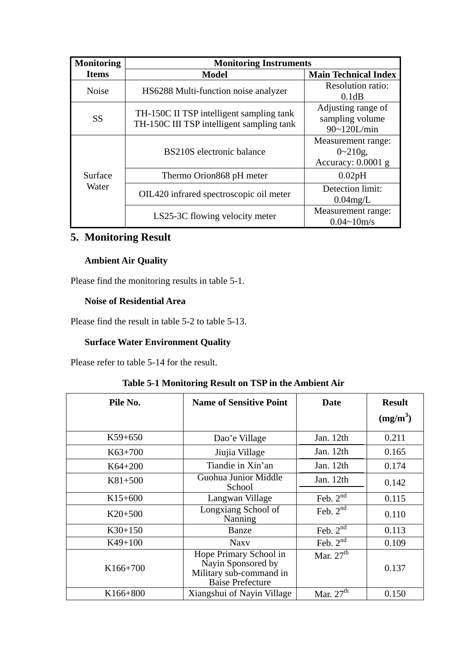| <b>Monitoring</b> | <b>Monitoring Instruments</b>                                                         |                                                          |  |  |
|-------------------|---------------------------------------------------------------------------------------|----------------------------------------------------------|--|--|
| <b>Items</b>      | <b>Model</b>                                                                          | <b>Main Technical Index</b>                              |  |  |
| <b>Noise</b>      | HS6288 Multi-function noise analyzer                                                  | <b>Resolution ratio:</b><br>0.1dB                        |  |  |
| <b>SS</b>         | TH-150C II TSP intelligent sampling tank<br>TH-150C III TSP intelligent sampling tank | Adjusting range of<br>sampling volume<br>90~120L/min     |  |  |
| Surface<br>Water  | BS210S electronic balance                                                             | Measurement range:<br>$0 - 210g$ ,<br>Accuracy: 0.0001 g |  |  |
|                   | Thermo Orion 868 pH meter                                                             | 0.02pH                                                   |  |  |
|                   | OIL420 infrared spectroscopic oil meter                                               | Detection limit:<br>$0.04$ mg/L                          |  |  |
|                   | LS25-3C flowing velocity meter                                                        | Measurement range:<br>$0.04 - 10m/s$                     |  |  |

# **5. Monitoring Result**

### **Ambient Air Quality**

Please find the monitoring results in table 5-1.

#### **Noise of Residential Area**

Please find the result in table 5-2 to table 5-13.

## **Surface Water Environment Quality**

Please refer to table 5-14 for the result.

# **Table 5-1 Monitoring Result on TSP in the Ambient Air**

| Pile No.   | <b>Name of Sensitive Point</b>                                                                     | Date          | <b>Result</b><br>$(mg/m^3)$ |
|------------|----------------------------------------------------------------------------------------------------|---------------|-----------------------------|
| $K59+650$  | Dao'e Village                                                                                      | Jan. 12th     | 0.211                       |
| $K63+700$  | Jiujia Village                                                                                     | Jan. 12th     | 0.165                       |
| $K64+200$  | Tiandie in Xin'an                                                                                  | Jan. 12th     | 0.174                       |
| $K81+500$  | Guohua Junior Middle<br>School                                                                     | Jan. 12th     | 0.142                       |
| $K15+600$  | Langwan Village                                                                                    | Feb. $2nd$    | 0.115                       |
| $K20+500$  | Longxiang School of<br>Nanning                                                                     | Feb. $2^{nd}$ | 0.110                       |
| $K30+150$  | Banze                                                                                              | Feb. $2nd$    | 0.113                       |
| $K49+100$  | <b>Naxy</b>                                                                                        | Feb. $2nd$    | 0.109                       |
| K166+700   | Hope Primary School in<br>Nayin Sponsored by<br>Military sub-command in<br><b>Baise Prefecture</b> | Mar. $27th$   | 0.137                       |
| $K166+800$ | Xiangshui of Nayin Village                                                                         | Mar. $27th$   | 0.150                       |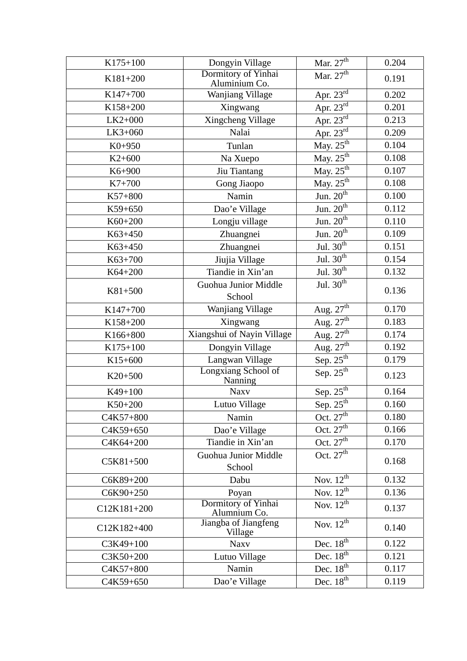| K175+100    | Dongyin Village                       | Mar. $27th$                      | 0.204 |
|-------------|---------------------------------------|----------------------------------|-------|
| K181+200    | Dormitory of Yinhai<br>Aluminium Co.  | Mar. $27^{\overline{th}}$        | 0.191 |
| K147+700    | Wanjiang Village                      | Apr. $23^{\text{rd}}$            | 0.202 |
| K158+200    | Xingwang                              | Apr. $23^{rd}$                   | 0.201 |
| $LK2+000$   | Xingcheng Village                     | Apr. $23^{\overline{\text{rd}}}$ | 0.213 |
| LK3+060     | Nalai                                 | Apr. $23^{rd}$                   | 0.209 |
| $K0+950$    | Tunlan                                | May. $25^{th}$                   | 0.104 |
| $K2+600$    | Na Xuepo                              | May. $25^{th}$                   | 0.108 |
| K6+900      | Jiu Tiantang                          | May. $25^{th}$                   | 0.107 |
| $K7 + 700$  | Gong Jiaopo                           | May. $25^{th}$                   | 0.108 |
| K57+800     | Namin                                 | Jun. $20^{th}$                   | 0.100 |
| K59+650     | Dao'e Village                         | Jun. $20^{th}$                   | 0.112 |
| K60+200     | Longju village                        | Jun. $20^{th}$                   | 0.110 |
| K63+450     | Zhuangnei                             | Jun. $20^{th}$                   | 0.109 |
| K63+450     | Zhuangnei                             | Jul. $30^{\text{th}}$            | 0.151 |
| K63+700     | Jiujia Village                        | Jul. $30^{th}$                   | 0.154 |
| K64+200     | Tiandie in Xin'an                     | Jul. $30^{\text{th}}$            | 0.132 |
| K81+500     | Guohua Junior Middle                  | Jul. $30^{\text{th}}$            | 0.136 |
|             | School                                |                                  |       |
| K147+700    | Wanjiang Village                      | Aug. $27th$                      | 0.170 |
| K158+200    | Xingwang                              | Aug. $27th$                      | 0.183 |
| K166+800    | Xiangshui of Nayin Village            | Aug. $27th$                      | 0.174 |
| K175+100    | Dongyin Village                       | Aug. $27th$                      | 0.192 |
| $K15+600$   | Langwan Village                       | Sep. $25th$                      | 0.179 |
| $K20+500$   | <b>Longxiang School of</b><br>Nanning | Sep. $25^{th}$                   | 0.123 |
| K49+100     | <b>Naxv</b>                           | Sep. $25^{\text{th}}$            | 0.164 |
| K50+200     | Lutuo Village                         | Sep. $25^{th}$                   | 0.160 |
| C4K57+800   | Namin                                 | Oct. $27^{\text{th}}$            | 0.180 |
| C4K59+650   | Dao'e Village                         | Oct. $27th$                      | 0.166 |
| C4K64+200   | Tiandie in Xin'an                     | Oct. $27th$                      | 0.170 |
| C5K81+500   | Guohua Junior Middle<br>School        | Oct. $27th$                      | 0.168 |
| C6K89+200   | Dabu                                  | Nov. $12^{\overline{\text{th}}}$ | 0.132 |
| C6K90+250   | Poyan                                 | Nov. $12^{th}$                   | 0.136 |
| C12K181+200 | Dormitory of Yinhai<br>Alumnium Co.   | Nov. $12^{th}$                   | 0.137 |
| C12K182+400 | Jiangba of Jiangfeng<br>Village       | Nov. $12^{th}$                   | 0.140 |
| C3K49+100   | <b>Naxv</b>                           | Dec. $18^{\text{th}}$            | 0.122 |
| C3K50+200   | Lutuo Village                         | Dec. $18^{\overline{\text{th}}}$ | 0.121 |
| C4K57+800   | Namin                                 | Dec. $18^{th}$                   | 0.117 |
| C4K59+650   | Dao'e Village                         | Dec. $18^{th}$                   | 0.119 |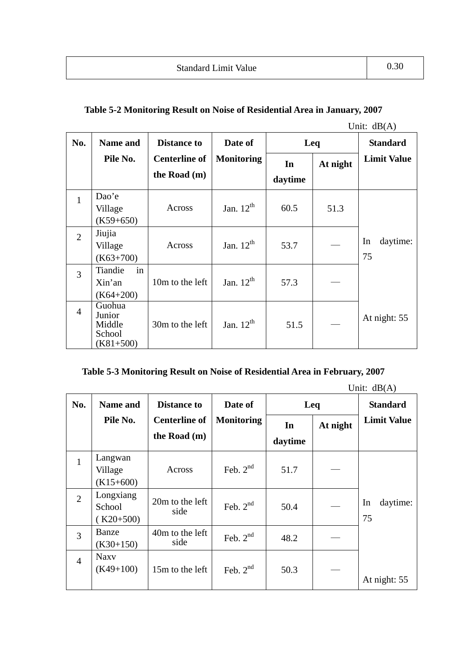|                |                                                     |                      |                   |         |          | Unit: $dB(A)$        |
|----------------|-----------------------------------------------------|----------------------|-------------------|---------|----------|----------------------|
| No.            | <b>Name and</b>                                     | <b>Distance to</b>   | Date of           | Leq     |          | <b>Standard</b>      |
|                | Pile No.                                            | <b>Centerline of</b> | <b>Monitoring</b> | In      | At night | <b>Limit Value</b>   |
|                |                                                     | the Road $(m)$       |                   | daytime |          |                      |
| $\mathbf{1}$   | Dao'e<br>Village<br>$(K59+650)$                     | Across               | Jan. $12^{th}$    | 60.5    | 51.3     |                      |
| $\overline{2}$ | Jiujia<br>Village<br>$(K63+700)$                    | Across               | Jan. $12^{th}$    | 53.7    |          | daytime:<br>In<br>75 |
| 3              | Tiandie<br>in<br>Xin'an<br>$(K64+200)$              | 10m to the left      | Jan. $12^{th}$    | 57.3    |          |                      |
| $\overline{4}$ | Guohua<br>Junior<br>Middle<br>School<br>$(K81+500)$ | 30m to the left      | Jan. $12th$       | 51.5    |          | At night: 55         |

# **Table 5-3 Monitoring Result on Noise of Residential Area in February, 2007**

| No.            | <b>Name and</b> | <b>Distance to</b>      | Date of           |         | Leq      | <b>Standard</b>    |
|----------------|-----------------|-------------------------|-------------------|---------|----------|--------------------|
|                | Pile No.        | <b>Centerline of</b>    | <b>Monitoring</b> | In      | At night | <b>Limit Value</b> |
|                |                 | the Road (m)            |                   | daytime |          |                    |
| $\mathbf{1}$   | Langwan         |                         |                   |         |          |                    |
|                | Village         | Across                  | Feb. $2nd$        | 51.7    |          |                    |
|                | $(K15+600)$     |                         |                   |         |          |                    |
| $\overline{2}$ | Longxiang       |                         | Feb. $2nd$        | 50.4    |          |                    |
|                | School          | 20m to the left<br>side |                   |         |          | daytime:<br>In     |
|                | $(K20+500)$     |                         |                   |         |          | 75                 |
| 3              | Banze           | 40m to the left         | Feb. $2nd$        | 48.2    |          |                    |
|                | $(K30+150)$     | side                    |                   |         |          |                    |
| $\overline{4}$ | <b>Naxy</b>     |                         |                   |         |          |                    |
|                | $(K49+100)$     | 15m to the left         | Feb. $2nd$        | 50.3    |          |                    |
|                |                 |                         |                   |         |          | At night: 55       |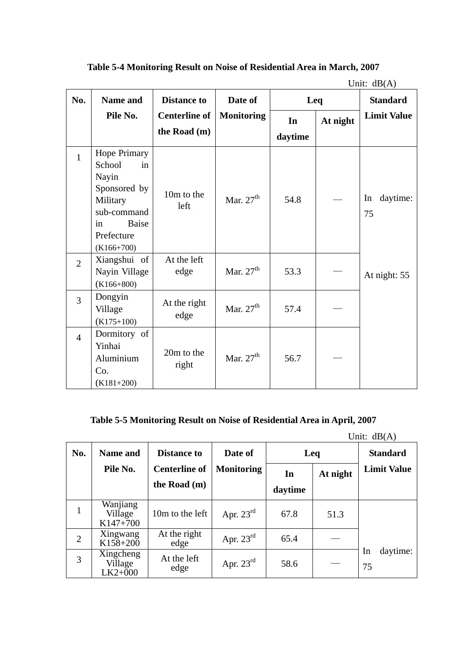|                |                                                                                                                                             |                                      |                   |               |          | Unit: $dB(A)$        |
|----------------|---------------------------------------------------------------------------------------------------------------------------------------------|--------------------------------------|-------------------|---------------|----------|----------------------|
| No.            | Name and                                                                                                                                    | <b>Distance to</b>                   | Date of           | Leq           |          | <b>Standard</b>      |
|                | Pile No.                                                                                                                                    | <b>Centerline of</b><br>the Road (m) | <b>Monitoring</b> | In<br>daytime | At night | <b>Limit Value</b>   |
| $\mathbf{1}$   | <b>Hope Primary</b><br>School<br>in<br>Nayin<br>Sponsored by<br>Military<br>sub-command<br><b>Baise</b><br>in<br>Prefecture<br>$(K166+700)$ | 10m to the<br>left                   | Mar. $27th$       | 54.8          |          | daytime:<br>In<br>75 |
| $\overline{2}$ | Xiangshui of<br>Nayin Village<br>$(K166+800)$                                                                                               | At the left<br>edge                  | Mar. $27th$       | 53.3          |          | At night: 55         |
| $\overline{3}$ | Dongyin<br>Village<br>$(K175+100)$                                                                                                          | At the right<br>edge                 | Mar. $27th$       | 57.4          |          |                      |
| $\overline{4}$ | Dormitory of<br>Yinhai<br>Aluminium<br>Co.<br>$(K181+200)$                                                                                  | 20m to the<br>right                  | Mar. $27th$       | 56.7          |          |                      |

**Table 5-4 Monitoring Result on Noise of Residential Area in March, 2007** 

# **Table 5-5 Monitoring Result on Noise of Residential Area in April, 2007**

| No. | <b>Name and</b>                   | <b>Distance to</b>                   | Date of               | Leq           |          | <b>Standard</b>      |
|-----|-----------------------------------|--------------------------------------|-----------------------|---------------|----------|----------------------|
|     | Pile No.                          | <b>Centerline of</b><br>the Road (m) | <b>Monitoring</b>     | In<br>daytime | At night | <b>Limit Value</b>   |
|     | Wanjiang<br>Village<br>$K147+700$ | 10m to the left                      | Apr. $23^{\text{rd}}$ | 67.8          | 51.3     |                      |
| 2   | Xingwang<br>K158+200              | At the right<br>edge                 | Apr. $23^{\text{rd}}$ | 65.4          |          |                      |
| 3   | Xingcheng<br>Village<br>$LK2+000$ | At the left<br>edge                  | Apr. $23^{\text{rd}}$ | 58.6          |          | daytime:<br>In<br>75 |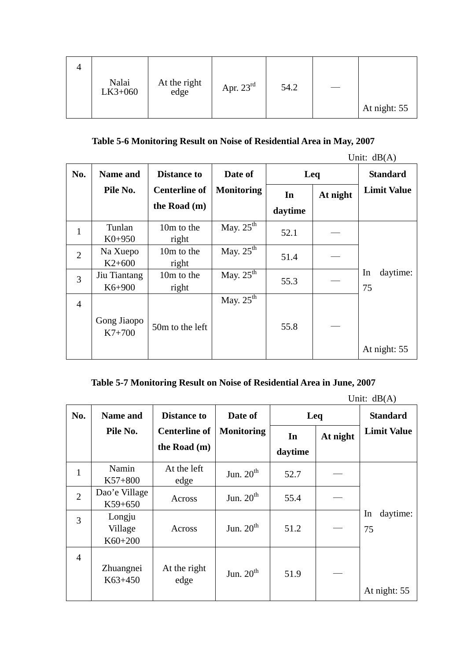| Nalai<br>LK3+060 | At the right<br>edge | Apr. $23^{\text{rd}}$ | 54.2 |              |
|------------------|----------------------|-----------------------|------|--------------|
|                  |                      |                       |      | At night: 55 |

# **Table 5-6 Monitoring Result on Noise of Residential Area in May, 2007**

|                |                            |                      |                       |         |          | Unit: $dB(A)$        |
|----------------|----------------------------|----------------------|-----------------------|---------|----------|----------------------|
| No.            | <b>Name and</b>            | <b>Distance to</b>   | Date of               | Leq     |          | <b>Standard</b>      |
|                | Pile No.                   | <b>Centerline of</b> | <b>Monitoring</b>     | In      | At night | <b>Limit Value</b>   |
|                |                            | the Road $(m)$       |                       | daytime |          |                      |
| $\mathbf{1}$   | Tunlan<br>$K0+950$         | 10m to the<br>right  | May. $25^{\text{th}}$ | 52.1    |          |                      |
| $\overline{2}$ | Na Xuepo<br>$K2+600$       | 10m to the<br>right  | May. $25^{\text{th}}$ | 51.4    |          |                      |
| 3              | Jiu Tiantang<br>$K6 + 900$ | 10m to the<br>right  | May. $25^{\text{th}}$ | 55.3    |          | In<br>daytime:<br>75 |
| $\overline{4}$ |                            |                      | May. $25^{\text{th}}$ |         |          |                      |
|                | Gong Jiaopo<br>$K7+700$    | 50m to the left      |                       | 55.8    |          |                      |
|                |                            |                      |                       |         |          | At night: 55         |

## **Table 5-7 Monitoring Result on Noise of Residential Area in June, 2007**

|                |                              |                      |                   |         |          | Unit: $dB(A)$        |
|----------------|------------------------------|----------------------|-------------------|---------|----------|----------------------|
| No.            | Name and                     | <b>Distance to</b>   | Date of           | Leq     |          | <b>Standard</b>      |
|                | Pile No.                     | <b>Centerline of</b> | <b>Monitoring</b> | In      | At night | <b>Limit Value</b>   |
|                |                              | the Road (m)         |                   | daytime |          |                      |
| $\mathbf{1}$   | Namin<br>$K57+800$           | At the left<br>edge  | Jun. $20th$       | 52.7    |          |                      |
| $\overline{2}$ | Dao'e Village<br>$K59+650$   | Across               | Jun. $20th$       | 55.4    |          |                      |
| 3              | Longju<br>Village<br>K60+200 | Across               | Jun. $20th$       | 51.2    |          | daytime:<br>In<br>75 |
| $\overline{4}$ | Zhuangnei<br>$K63+450$       | At the right<br>edge | Jun. $20th$       | 51.9    |          | At night: 55         |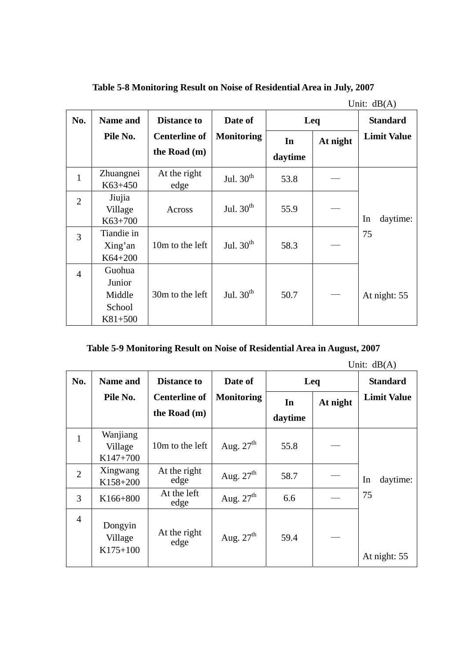**Table 5-8 Monitoring Result on Noise of Residential Area in July, 2007** 

|                |                                                   |                      |                   |         |          | Unit: $dB(A)$      |
|----------------|---------------------------------------------------|----------------------|-------------------|---------|----------|--------------------|
| No.            | <b>Name and</b>                                   | <b>Distance to</b>   | Date of           |         | Leq      |                    |
|                | Pile No.                                          | <b>Centerline of</b> | <b>Monitoring</b> | In      | At night | <b>Limit Value</b> |
|                |                                                   | the Road (m)         |                   | daytime |          |                    |
| $\mathbf{1}$   | Zhuangnei<br>K63+450                              | At the right<br>edge | Jul. $30th$       | 53.8    |          |                    |
| $\overline{2}$ | Jiujia<br>Village<br>$K63+700$                    | Across               | Jul. $30th$       | 55.9    |          | In<br>daytime:     |
| 3              | Tiandie in<br>Xing'an<br>$K64 + 200$              | 10m to the left      | Jul. $30th$       | 58.3    |          | 75                 |
| $\overline{4}$ | Guohua<br>Junior<br>Middle<br>School<br>$K81+500$ | 30m to the left      | Jul. $30th$       | 50.7    |          | At night: 55       |

| Table 5-9 Monitoring Result on Noise of Residential Area in August, 2007 |
|--------------------------------------------------------------------------|
|                                                                          |

|                |                                   |                      |                   |         |          | Unit: $dB(A)$      |
|----------------|-----------------------------------|----------------------|-------------------|---------|----------|--------------------|
| No.            | <b>Name and</b>                   | <b>Distance to</b>   | Date of           |         | Leq      | <b>Standard</b>    |
|                | Pile No.                          | <b>Centerline of</b> | <b>Monitoring</b> | In      | At night | <b>Limit Value</b> |
|                |                                   | the Road (m)         |                   | daytime |          |                    |
| $\mathbf{1}$   | Wanjiang<br>Village<br>$K147+700$ | 10m to the left      | Aug. $27th$       | 55.8    |          |                    |
| $\overline{2}$ | Xingwang<br>K158+200              | At the right<br>edge | Aug. $27th$       | 58.7    |          | In<br>daytime:     |
| 3              | K166+800                          | At the left<br>edge  | Aug. $27th$       | 6.6     |          | 75                 |
| $\overline{4}$ | Dongyin<br>Village<br>$K175+100$  | At the right<br>edge | Aug. $27th$       | 59.4    |          | At night: 55       |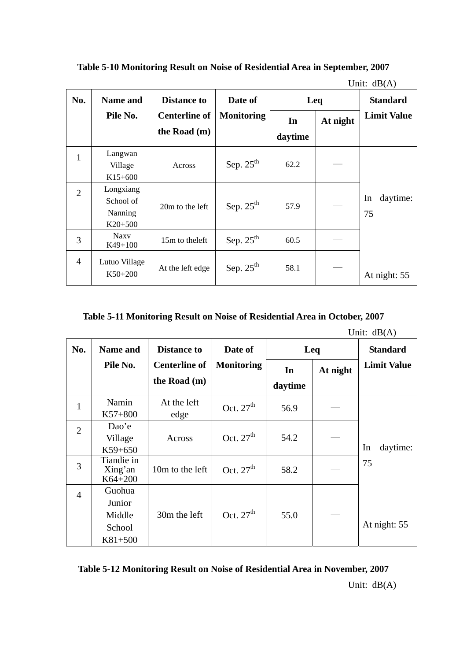|                |                                                |                      |                   |         |          | Unit: $dB(A)$        |
|----------------|------------------------------------------------|----------------------|-------------------|---------|----------|----------------------|
| No.            | <b>Name and</b>                                | <b>Distance to</b>   | Date of           | Leq     |          | <b>Standard</b>      |
|                | Pile No.                                       | <b>Centerline of</b> | <b>Monitoring</b> | In      | At night | <b>Limit Value</b>   |
|                |                                                | the Road (m)         |                   | daytime |          |                      |
| 1              | Langwan<br>Village<br>$K15+600$                | Across               | Sep. $25th$       | 62.2    |          |                      |
| $\overline{2}$ | Longxiang<br>School of<br>Nanning<br>$K20+500$ | 20m to the left      | Sep. $25th$       | 57.9    |          | daytime:<br>In<br>75 |
| 3              | <b>Naxy</b><br>$K49+100$                       | 15m to the left      | Sep. $25th$       | 60.5    |          |                      |
| 4              | Lutuo Village<br>$K50+200$                     | At the left edge     | Sep. $25th$       | 58.1    |          | At night: 55         |

**Table 5-10 Monitoring Result on Noise of Residential Area in September, 2007** 

**Table 5-11 Monitoring Result on Noise of Residential Area in October, 2007** 

|                |                                                   |                      |                   |         |          | Unit: $dB(A)$      |
|----------------|---------------------------------------------------|----------------------|-------------------|---------|----------|--------------------|
| No.            | Name and                                          | <b>Distance to</b>   | Date of           | Leq     |          | <b>Standard</b>    |
|                | Pile No.                                          | <b>Centerline of</b> | <b>Monitoring</b> | In      | At night | <b>Limit Value</b> |
|                |                                                   | the Road (m)         |                   | daytime |          |                    |
| $\mathbf{1}$   | Namin<br>$K57+800$                                | At the left<br>edge  | Oct. $27th$       | 56.9    |          |                    |
| $\overline{2}$ | Dao'e<br>Village<br>$K59+650$                     | Across               | Oct. $27th$       | 54.2    |          | daytime:<br>In     |
| 3              | Tiandie in<br>Xing'an<br>$K64 + 200$              | 10m to the left      | Oct. $27th$       | 58.2    |          | 75                 |
| $\overline{4}$ | Guohua<br>Junior<br>Middle<br>School<br>$K81+500$ | 30m the left         | Oct. $27th$       | 55.0    |          | At night: 55       |

**Table 5-12 Monitoring Result on Noise of Residential Area in November, 2007**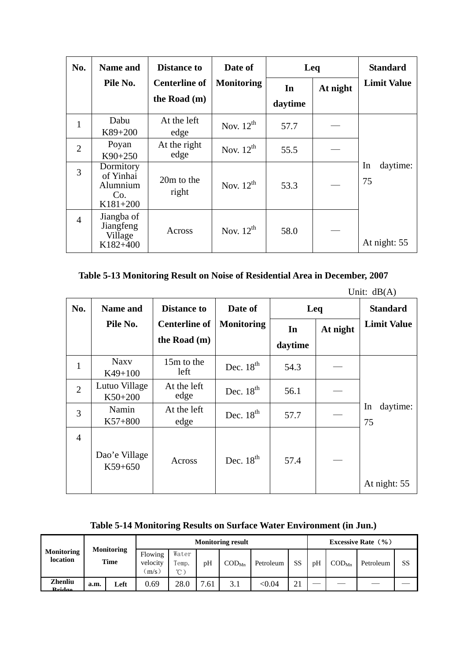| No.            | <b>Name and</b>                                         | <b>Distance to</b>                   | Date of           | Leq     | <b>Standard</b> |                      |
|----------------|---------------------------------------------------------|--------------------------------------|-------------------|---------|-----------------|----------------------|
|                | Pile No.                                                | <b>Centerline of</b><br>the Road (m) | <b>Monitoring</b> | In      | At night        | <b>Limit Value</b>   |
|                |                                                         |                                      |                   | daytime |                 |                      |
|                | Dabu<br>$K89+200$                                       | At the left<br>edge                  | Nov. $12^{th}$    | 57.7    |                 |                      |
| $\overline{2}$ | Poyan<br>$K90+250$                                      | At the right<br>edge                 | Nov. $12^{th}$    | 55.5    |                 |                      |
| 3              | Dormitory<br>of Yinhai<br>Alumnium<br>Co.<br>$K181+200$ | 20m to the<br>right                  | Nov. $12^{th}$    | 53.3    |                 | daytime:<br>In<br>75 |
| $\overline{4}$ | Jiangba of<br>Jiangfeng<br>Village<br>K182+400          | Across                               | Nov. $12^{th}$    | 58.0    |                 | At night: 55         |

# **Table 5-13 Monitoring Result on Noise of Residential Area in December, 2007**

| No.            | <b>Name and</b>            | <b>Distance to</b>                     | Date of           | Leq           | <b>Standard</b> |                      |
|----------------|----------------------------|----------------------------------------|-------------------|---------------|-----------------|----------------------|
|                | Pile No.                   | <b>Centerline of</b><br>the Road $(m)$ | <b>Monitoring</b> | In<br>daytime | At night        | <b>Limit Value</b>   |
| $\mathbf{1}$   | <b>Naxy</b><br>$K49+100$   | 15m to the<br>left                     | Dec. $18th$       | 54.3          |                 |                      |
| $\overline{2}$ | Lutuo Village<br>$K50+200$ | At the left<br>edge                    | Dec. $18th$       | 56.1          |                 |                      |
| 3              | Namin<br>$K57+800$         | At the left<br>edge                    | Dec. $18th$       | 57.7          |                 | daytime:<br>In<br>75 |
| $\overline{4}$ | Dao'e Village<br>$K59+650$ | Across                                 | Dec. $18th$       | 57.4          |                 | At night: 55         |

**Table 5-14 Monitoring Results on Surface Water Environment (in Jun.)** 

| <b>Monitoring</b><br>location |                           |                                | <b>Monitoring result</b>        |      |                            |           |               |        |                            | Excessive Rate $(\% )$ |           |  |  |  |
|-------------------------------|---------------------------|--------------------------------|---------------------------------|------|----------------------------|-----------|---------------|--------|----------------------------|------------------------|-----------|--|--|--|
|                               | <b>Monitoring</b><br>Time | Flowing<br>velocity<br>$m/s$ ) | Water<br>Temp.<br>$^{\circ}$ C) | pH   | $\mathrm{COD}_\mathrm{Mn}$ | Petroleum | SS            | pH     | $\mathrm{COD}_\mathrm{Mn}$ | Petroleum              | <b>SS</b> |  |  |  |
| <b>Zhenliu</b><br>$D_{mid}$   | a.m.                      | Left                           | 0.69                            | 28.0 | $\mathbf{r}$<br>.61        | 3.1       | $<$ 0.04 $\,$ | $\sim$ |                            |                        |           |  |  |  |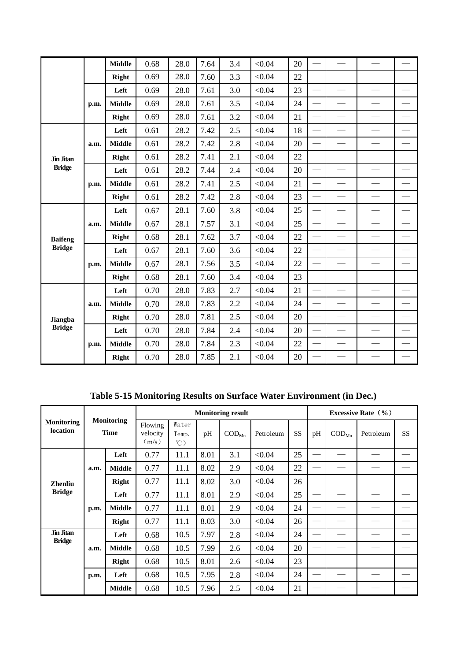|                |      | <b>Middle</b> | 0.68 | 28.0 | 7.64 | 3.4 | < 0.04 | 20 |                          |                          |                          |                          |
|----------------|------|---------------|------|------|------|-----|--------|----|--------------------------|--------------------------|--------------------------|--------------------------|
|                |      | <b>Right</b>  | 0.69 | 28.0 | 7.60 | 3.3 | < 0.04 | 22 |                          |                          |                          |                          |
|                |      | Left          | 0.69 | 28.0 | 7.61 | 3.0 | < 0.04 | 23 |                          |                          |                          |                          |
|                | p.m. | <b>Middle</b> | 0.69 | 28.0 | 7.61 | 3.5 | < 0.04 | 24 |                          | $\overline{\phantom{0}}$ |                          |                          |
|                |      | Right         | 0.69 | 28.0 | 7.61 | 3.2 | < 0.04 | 21 |                          |                          |                          |                          |
|                |      | Left          | 0.61 | 28.2 | 7.42 | 2.5 | < 0.04 | 18 | $\overline{\phantom{0}}$ | $\overline{\phantom{0}}$ | $\overline{\phantom{a}}$ |                          |
|                | a.m. | <b>Middle</b> | 0.61 | 28.2 | 7.42 | 2.8 | < 0.04 | 20 |                          | $\overline{\phantom{0}}$ | $\overline{\phantom{0}}$ | $\overline{\phantom{0}}$ |
| Jin Jitan      |      | Right         | 0.61 | 28.2 | 7.41 | 2.1 | < 0.04 | 22 |                          |                          |                          |                          |
| <b>Bridge</b>  | p.m. | Left          | 0.61 | 28.2 | 7.44 | 2.4 | < 0.04 | 20 | $\overline{\phantom{0}}$ |                          |                          |                          |
|                |      | <b>Middle</b> | 0.61 | 28.2 | 7.41 | 2.5 | < 0.04 | 21 |                          |                          |                          |                          |
|                |      | Right         | 0.61 | 28.2 | 7.42 | 2.8 | < 0.04 | 23 | $\overline{\phantom{0}}$ |                          |                          |                          |
|                | a.m. | Left          | 0.67 | 28.1 | 7.60 | 3.8 | < 0.04 | 25 | $\overline{\phantom{0}}$ | $\overline{\phantom{0}}$ |                          | $\overline{\phantom{0}}$ |
|                |      | <b>Middle</b> | 0.67 | 28.1 | 7.57 | 3.1 | < 0.04 | 25 | $\overline{\phantom{0}}$ | $\overline{\phantom{0}}$ |                          |                          |
| <b>Baifeng</b> |      | Right         | 0.68 | 28.1 | 7.62 | 3.7 | < 0.04 | 22 | $\overline{\phantom{0}}$ |                          |                          |                          |
| <b>Bridge</b>  |      | Left          | 0.67 | 28.1 | 7.60 | 3.6 | < 0.04 | 22 | $\overline{\phantom{0}}$ | $\overline{\phantom{0}}$ | -                        |                          |
|                | p.m. | <b>Middle</b> | 0.67 | 28.1 | 7.56 | 3.5 | < 0.04 | 22 |                          |                          |                          | $\overline{\phantom{0}}$ |
|                |      | Right         | 0.68 | 28.1 | 7.60 | 3.4 | < 0.04 | 23 |                          |                          |                          |                          |
|                |      | Left          | 0.70 | 28.0 | 7.83 | 2.7 | < 0.04 | 21 |                          |                          |                          |                          |
|                | a.m. | <b>Middle</b> | 0.70 | 28.0 | 7.83 | 2.2 | < 0.04 | 24 |                          |                          |                          |                          |
| Jiangba        |      | Right         | 0.70 | 28.0 | 7.81 | 2.5 | < 0.04 | 20 | $\overline{\phantom{0}}$ | $\overline{\phantom{0}}$ |                          |                          |
| <b>Bridge</b>  |      | Left          | 0.70 | 28.0 | 7.84 | 2.4 | < 0.04 | 20 |                          |                          |                          |                          |
|                | p.m. | <b>Middle</b> | 0.70 | 28.0 | 7.84 | 2.3 | < 0.04 | 22 |                          | $\overline{\phantom{0}}$ |                          |                          |
|                |      | Right         | 0.70 | 28.0 | 7.85 | 2.1 | < 0.04 | 20 |                          |                          |                          |                          |

**Table 5-15 Monitoring Results on Surface Water Environment (in Dec.)** 

|                               |                                  |               | <b>Monitoring result</b>     |                                 |      |                            |           |           |    | Excessive Rate $(\% )$     |           |           |  |  |
|-------------------------------|----------------------------------|---------------|------------------------------|---------------------------------|------|----------------------------|-----------|-----------|----|----------------------------|-----------|-----------|--|--|
| <b>Monitoring</b><br>location | <b>Monitoring</b><br><b>Time</b> |               | Flowing<br>velocity<br>(m/s) | Water<br>Temp.<br>$^{\circ}$ C) | pH   | $\mathrm{COD}_\mathrm{Mn}$ | Petroleum | <b>SS</b> | pH | $\mathrm{COD}_\mathrm{Mn}$ | Petroleum | <b>SS</b> |  |  |
|                               |                                  | Left          | 0.77                         | 11.1                            | 8.01 | 3.1                        | < 0.04    | 25        |    |                            |           |           |  |  |
|                               | a.m.                             | <b>Middle</b> | 0.77                         | 11.1                            | 8.02 | 2.9                        | < 0.04    | 22        |    |                            |           |           |  |  |
| <b>Zhenliu</b>                |                                  | Right         | 0.77                         | 11.1                            | 8.02 | 3.0                        | < 0.04    | 26        |    |                            |           |           |  |  |
| <b>Bridge</b>                 | p.m.                             | Left          | 0.77                         | 11.1                            | 8.01 | 2.9                        | < 0.04    | 25        |    |                            |           |           |  |  |
|                               |                                  | <b>Middle</b> | 0.77                         | 11.1                            | 8.01 | 2.9                        | < 0.04    | 24        |    |                            |           |           |  |  |
|                               |                                  | Right         | 0.77                         | 11.1                            | 8.03 | 3.0                        | < 0.04    | 26        |    |                            |           |           |  |  |
| Jin Jitan<br><b>Bridge</b>    |                                  | Left          | 0.68                         | 10.5                            | 7.97 | 2.8                        | < 0.04    | 24        |    |                            |           |           |  |  |
|                               | a.m.                             | <b>Middle</b> | 0.68                         | 10.5                            | 7.99 | 2.6                        | < 0.04    | 20        |    |                            |           |           |  |  |
|                               |                                  | Right         | 0.68                         | 10.5                            | 8.01 | 2.6                        | < 0.04    | 23        |    |                            |           |           |  |  |
|                               | p.m.                             | Left          | 0.68                         | 10.5                            | 7.95 | 2.8                        | < 0.04    | 24        |    |                            |           |           |  |  |
|                               |                                  | <b>Middle</b> | 0.68                         | 10.5                            | 7.96 | 2.5                        | < 0.04    | 21        |    |                            |           |           |  |  |